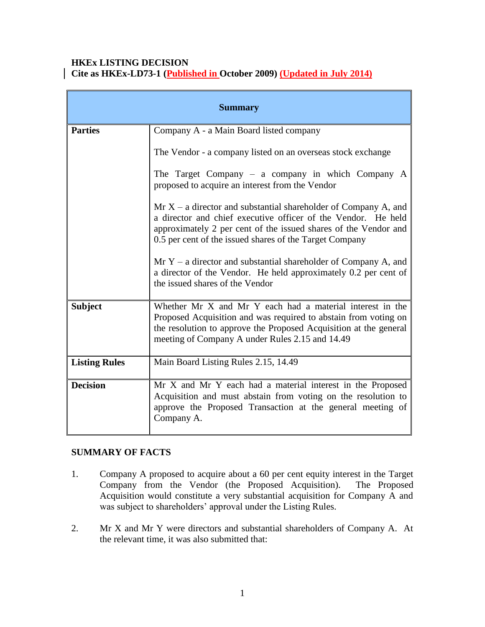### **HKEx LISTING DECISION Cite as HKEx-LD73-1 (Published in October 2009) (Updated in July 2014)**

| <b>Summary</b>       |                                                                                                                                                                                                                                                                  |
|----------------------|------------------------------------------------------------------------------------------------------------------------------------------------------------------------------------------------------------------------------------------------------------------|
| <b>Parties</b>       | Company A - a Main Board listed company                                                                                                                                                                                                                          |
|                      | The Vendor - a company listed on an overseas stock exchange                                                                                                                                                                                                      |
|                      | The Target Company $-$ a company in which Company A<br>proposed to acquire an interest from the Vendor                                                                                                                                                           |
|                      | $Mr X - a$ director and substantial shareholder of Company A, and<br>a director and chief executive officer of the Vendor. He held<br>approximately 2 per cent of the issued shares of the Vendor and<br>0.5 per cent of the issued shares of the Target Company |
|                      | $Mr Y - a$ director and substantial shareholder of Company A, and<br>a director of the Vendor. He held approximately 0.2 per cent of<br>the issued shares of the Vendor                                                                                          |
| <b>Subject</b>       | Whether Mr X and Mr Y each had a material interest in the<br>Proposed Acquisition and was required to abstain from voting on<br>the resolution to approve the Proposed Acquisition at the general<br>meeting of Company A under Rules 2.15 and 14.49             |
| <b>Listing Rules</b> | Main Board Listing Rules 2.15, 14.49                                                                                                                                                                                                                             |
| <b>Decision</b>      | Mr X and Mr Y each had a material interest in the Proposed<br>Acquisition and must abstain from voting on the resolution to<br>approve the Proposed Transaction at the general meeting of<br>Company A.                                                          |

## **SUMMARY OF FACTS**

- 1. Company A proposed to acquire about a 60 per cent equity interest in the Target Company from the Vendor (the Proposed Acquisition). The Proposed Acquisition would constitute a very substantial acquisition for Company A and was subject to shareholders' approval under the Listing Rules.
- 2. Mr X and Mr Y were directors and substantial shareholders of Company A. At the relevant time, it was also submitted that: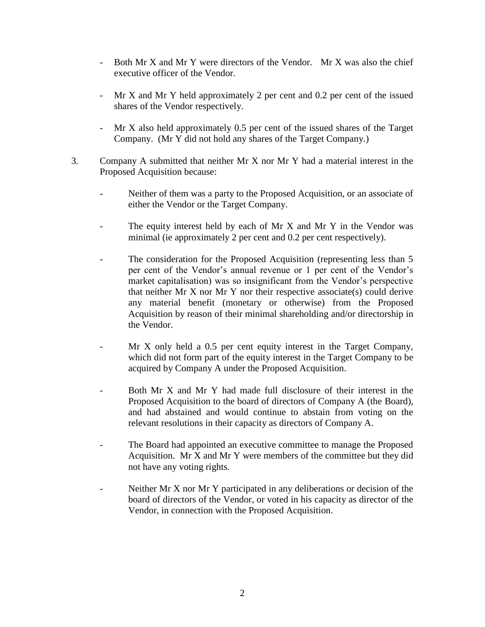- Both Mr X and Mr Y were directors of the Vendor. Mr X was also the chief executive officer of the Vendor.
- Mr X and Mr Y held approximately 2 per cent and 0.2 per cent of the issued shares of the Vendor respectively.
- Mr X also held approximately 0.5 per cent of the issued shares of the Target Company. (Mr Y did not hold any shares of the Target Company.)
- 3. Company A submitted that neither Mr X nor Mr Y had a material interest in the Proposed Acquisition because:
	- Neither of them was a party to the Proposed Acquisition, or an associate of either the Vendor or the Target Company.
	- The equity interest held by each of Mr  $X$  and Mr  $Y$  in the Vendor was minimal (ie approximately 2 per cent and 0.2 per cent respectively).
	- The consideration for the Proposed Acquisition (representing less than 5 per cent of the Vendor's annual revenue or 1 per cent of the Vendor's market capitalisation) was so insignificant from the Vendor's perspective that neither Mr X nor Mr Y nor their respective associate(s) could derive any material benefit (monetary or otherwise) from the Proposed Acquisition by reason of their minimal shareholding and/or directorship in the Vendor.
	- Mr X only held a 0.5 per cent equity interest in the Target Company, which did not form part of the equity interest in the Target Company to be acquired by Company A under the Proposed Acquisition.
	- Both Mr X and Mr Y had made full disclosure of their interest in the Proposed Acquisition to the board of directors of Company A (the Board), and had abstained and would continue to abstain from voting on the relevant resolutions in their capacity as directors of Company A.
	- The Board had appointed an executive committee to manage the Proposed Acquisition. Mr X and Mr Y were members of the committee but they did not have any voting rights.
	- Neither Mr X nor Mr Y participated in any deliberations or decision of the board of directors of the Vendor, or voted in his capacity as director of the Vendor, in connection with the Proposed Acquisition.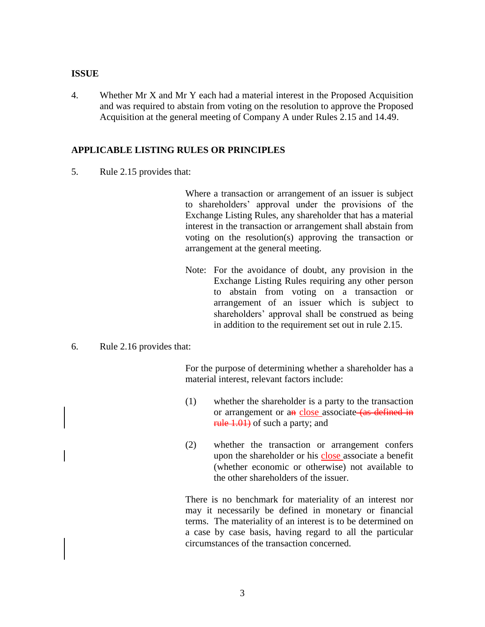#### **ISSUE**

4. Whether Mr X and Mr Y each had a material interest in the Proposed Acquisition and was required to abstain from voting on the resolution to approve the Proposed Acquisition at the general meeting of Company A under Rules 2.15 and 14.49.

#### **APPLICABLE LISTING RULES OR PRINCIPLES**

5. Rule 2.15 provides that:

Where a transaction or arrangement of an issuer is subject to shareholders' approval under the provisions of the Exchange Listing Rules, any shareholder that has a material interest in the transaction or arrangement shall abstain from voting on the resolution(s) approving the transaction or arrangement at the general meeting.

- Note: For the avoidance of doubt, any provision in the Exchange Listing Rules requiring any other person to abstain from voting on a transaction or arrangement of an issuer which is subject to shareholders' approval shall be construed as being in addition to the requirement set out in rule 2.15.
- 6. Rule 2.16 provides that:

For the purpose of determining whether a shareholder has a material interest, relevant factors include:

- (1) whether the shareholder is a party to the transaction or arrangement or an close associate (as defined in rule 1.01) of such a party; and
- (2) whether the transaction or arrangement confers upon the shareholder or his close associate a benefit (whether economic or otherwise) not available to the other shareholders of the issuer.

There is no benchmark for materiality of an interest nor may it necessarily be defined in monetary or financial terms. The materiality of an interest is to be determined on a case by case basis, having regard to all the particular circumstances of the transaction concerned.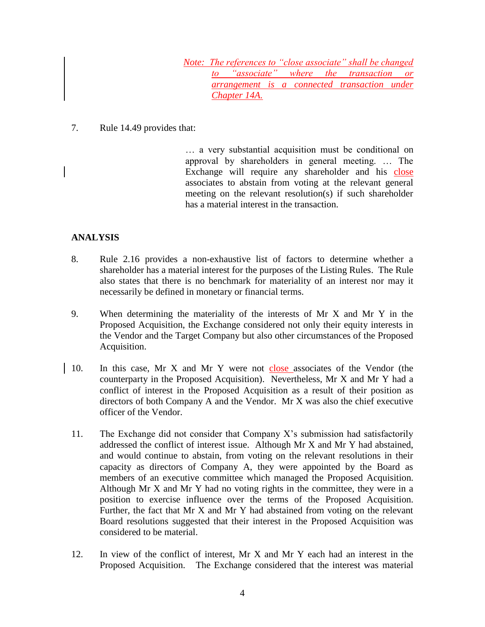*Note: The references to "close associate" shall be changed to "associate" where the transaction or arrangement is a connected transaction under Chapter 14A.*

### 7. Rule 14.49 provides that:

… a very substantial acquisition must be conditional on approval by shareholders in general meeting. … The Exchange will require any shareholder and his close associates to abstain from voting at the relevant general meeting on the relevant resolution(s) if such shareholder has a material interest in the transaction.

# **ANALYSIS**

- 8. Rule 2.16 provides a non-exhaustive list of factors to determine whether a shareholder has a material interest for the purposes of the Listing Rules. The Rule also states that there is no benchmark for materiality of an interest nor may it necessarily be defined in monetary or financial terms.
- 9. When determining the materiality of the interests of Mr X and Mr Y in the Proposed Acquisition, the Exchange considered not only their equity interests in the Vendor and the Target Company but also other circumstances of the Proposed Acquisition.
- 10. In this case, Mr X and Mr Y were not close associates of the Vendor (the counterparty in the Proposed Acquisition). Nevertheless, Mr X and Mr Y had a conflict of interest in the Proposed Acquisition as a result of their position as directors of both Company A and the Vendor. Mr X was also the chief executive officer of the Vendor.
- 11. The Exchange did not consider that Company X's submission had satisfactorily addressed the conflict of interest issue. Although Mr X and Mr Y had abstained, and would continue to abstain, from voting on the relevant resolutions in their capacity as directors of Company A, they were appointed by the Board as members of an executive committee which managed the Proposed Acquisition. Although Mr X and Mr Y had no voting rights in the committee, they were in a position to exercise influence over the terms of the Proposed Acquisition. Further, the fact that Mr X and Mr Y had abstained from voting on the relevant Board resolutions suggested that their interest in the Proposed Acquisition was considered to be material.
- 12. In view of the conflict of interest, Mr X and Mr Y each had an interest in the Proposed Acquisition. The Exchange considered that the interest was material